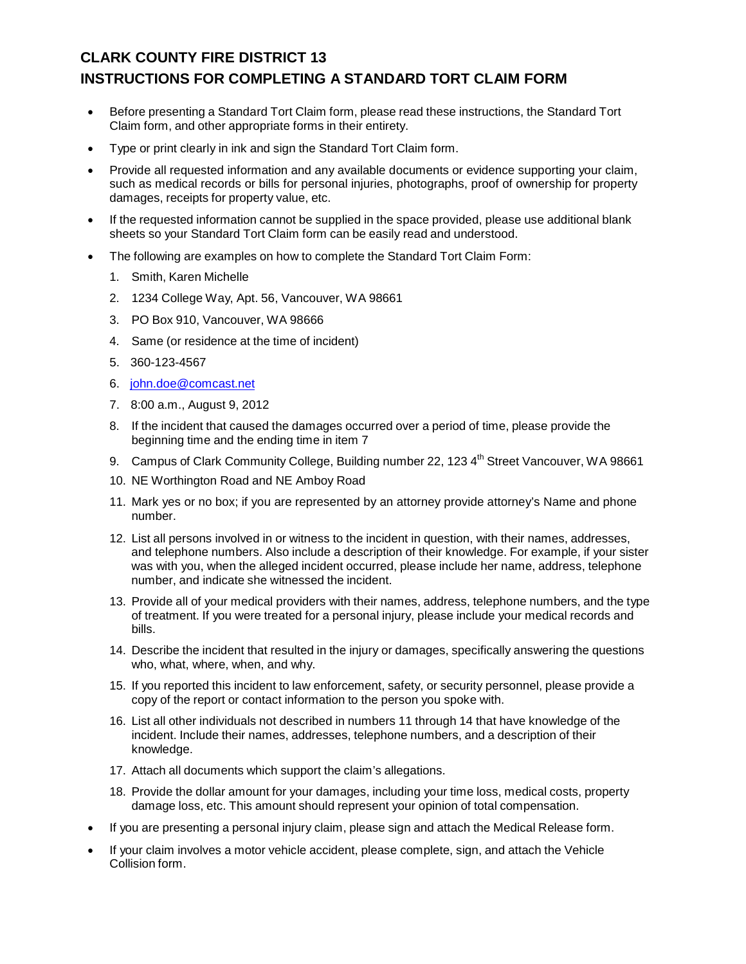## **CLARK COUNTY FIRE DISTRICT 13 INSTRUCTIONS FOR COMPLETING A STANDARD TORT CLAIM FORM**

- Before presenting a Standard Tort Claim form, please read these instructions, the Standard Tort Claim form, and other appropriate forms in their entirety.
- Type or print clearly in ink and sign the Standard Tort Claim form.
- Provide all requested information and any available documents or evidence supporting your claim, such as medical records or bills for personal injuries, photographs, proof of ownership for property damages, receipts for property value, etc.
- If the requested information cannot be supplied in the space provided, please use additional blank sheets so your Standard Tort Claim form can be easily read and understood.
- The following are examples on how to complete the Standard Tort Claim Form:
	- 1. Smith, Karen Michelle
	- 2. 1234 College Way, Apt. 56, Vancouver, WA 98661
	- 3. PO Box 910, Vancouver, WA 98666
	- 4. Same (or residence at the time of incident)
	- 5. 360-123-4567
	- 6. [john.doe@comcast.net](mailto:john.doe@comcast.net)
	- 7. 8:00 a.m., August 9, 2012
	- 8. If the incident that caused the damages occurred over a period of time, please provide the beginning time and the ending time in item 7
	- 9. Campus of Clark Community College, Building number 22, 123 4<sup>th</sup> Street Vancouver, WA 98661
	- 10. NE Worthington Road and NE Amboy Road
	- 11. Mark yes or no box; if you are represented by an attorney provide attorney's Name and phone number.
	- 12. List all persons involved in or witness to the incident in question, with their names, addresses, and telephone numbers. Also include a description of their knowledge. For example, if your sister was with you, when the alleged incident occurred, please include her name, address, telephone number, and indicate she witnessed the incident.
	- 13. Provide all of your medical providers with their names, address, telephone numbers, and the type of treatment. If you were treated for a personal injury, please include your medical records and bills.
	- 14. Describe the incident that resulted in the injury or damages, specifically answering the questions who, what, where, when, and why.
	- 15. If you reported this incident to law enforcement, safety, or security personnel, please provide a copy of the report or contact information to the person you spoke with.
	- 16. List all other individuals not described in numbers 11 through 14 that have knowledge of the incident. Include their names, addresses, telephone numbers, and a description of their knowledge.
	- 17. Attach all documents which support the claim's allegations.
	- 18. Provide the dollar amount for your damages, including your time loss, medical costs, property damage loss, etc. This amount should represent your opinion of total compensation.
- If you are presenting a personal injury claim, please sign and attach the Medical Release form.
- If your claim involves a motor vehicle accident, please complete, sign, and attach the Vehicle Collision form.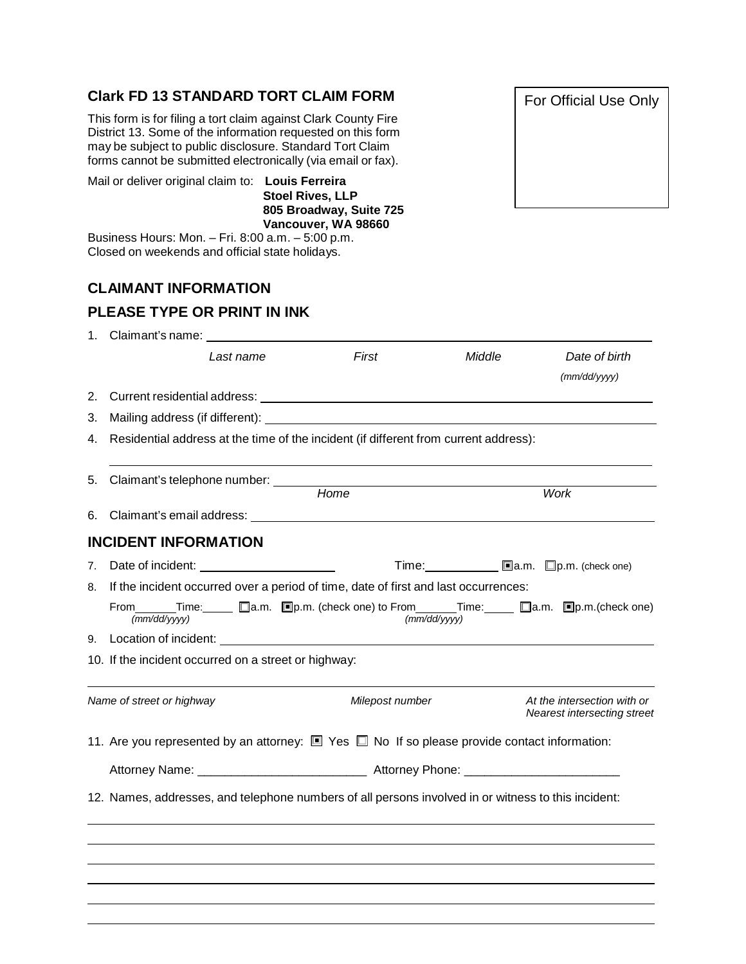## **Clark FD 13 STANDARD TORT CLAIM FORM**

This form is for filing a tort claim against Clark County Fire District 13. Some of the information requested on this form may be subject to public disclosure. Standard Tort Claim forms cannot be submitted electronically (via email or fax).

Mail or deliver original claim to: **Louis Ferreira**

**Stoel Rives, LLP 805 Broadway, Suite 725 Vancouver, WA 98660**

Business Hours: Mon. – Fri. 8:00 a.m. – 5:00 p.m. Closed on weekends and official state holidays.

## **CLAIMANT INFORMATION**

## **PLEASE TYPE OR PRINT IN INK**

|                                                                                                     | 1. Claimant's name:                                                                                          |                                                                                                                                                                                                                                |                                        |                                                            |
|-----------------------------------------------------------------------------------------------------|--------------------------------------------------------------------------------------------------------------|--------------------------------------------------------------------------------------------------------------------------------------------------------------------------------------------------------------------------------|----------------------------------------|------------------------------------------------------------|
|                                                                                                     | Last name                                                                                                    | First                                                                                                                                                                                                                          | Middle                                 | Date of birth<br>(mm/dd/yyyy)                              |
| 2.                                                                                                  |                                                                                                              |                                                                                                                                                                                                                                |                                        |                                                            |
| 3.                                                                                                  |                                                                                                              | Mailing address (if different): Note that the state of the state of the state of the state of the state of the state of the state of the state of the state of the state of the state of the state of the state of the state o |                                        |                                                            |
| 4.                                                                                                  | Residential address at the time of the incident (if different from current address):                         |                                                                                                                                                                                                                                |                                        |                                                            |
| 5.                                                                                                  | Claimant's telephone number:                                                                                 |                                                                                                                                                                                                                                |                                        |                                                            |
|                                                                                                     |                                                                                                              | Home                                                                                                                                                                                                                           |                                        | Work                                                       |
| 6.                                                                                                  |                                                                                                              | Claimant's email address: example and the state of the state of the state of the state of the state of the state of the state of the state of the state of the state of the state of the state of the state of the state of th |                                        |                                                            |
|                                                                                                     | <b>INCIDENT INFORMATION</b>                                                                                  |                                                                                                                                                                                                                                |                                        |                                                            |
| 7.                                                                                                  |                                                                                                              |                                                                                                                                                                                                                                | Time: <u>■</u> a.m. □ p.m. (check one) |                                                            |
|                                                                                                     | 8. If the incident occurred over a period of time, date of first and last occurrences:                       |                                                                                                                                                                                                                                |                                        |                                                            |
|                                                                                                     | $\sqrt{\frac{mm}{dd/yyyy}}$                                                                                  | From_______Time:______ □a.m. □p.m. (check one) to From_______Time:_____ □a.m. □p.m.(check one)                                                                                                                                 | (mm/dd/yyyy)                           |                                                            |
|                                                                                                     |                                                                                                              |                                                                                                                                                                                                                                |                                        |                                                            |
|                                                                                                     | 10. If the incident occurred on a street or highway:                                                         |                                                                                                                                                                                                                                |                                        |                                                            |
|                                                                                                     | Name of street or highway                                                                                    | Milepost number                                                                                                                                                                                                                |                                        | At the intersection with or<br>Nearest intersecting street |
|                                                                                                     | 11. Are you represented by an attorney: $\square$ Yes $\square$ No If so please provide contact information: |                                                                                                                                                                                                                                |                                        |                                                            |
|                                                                                                     |                                                                                                              |                                                                                                                                                                                                                                |                                        |                                                            |
| 12. Names, addresses, and telephone numbers of all persons involved in or witness to this incident: |                                                                                                              |                                                                                                                                                                                                                                |                                        |                                                            |
|                                                                                                     |                                                                                                              |                                                                                                                                                                                                                                |                                        |                                                            |
|                                                                                                     |                                                                                                              |                                                                                                                                                                                                                                |                                        |                                                            |
|                                                                                                     |                                                                                                              |                                                                                                                                                                                                                                |                                        |                                                            |
|                                                                                                     |                                                                                                              |                                                                                                                                                                                                                                |                                        |                                                            |

For Official Use Only